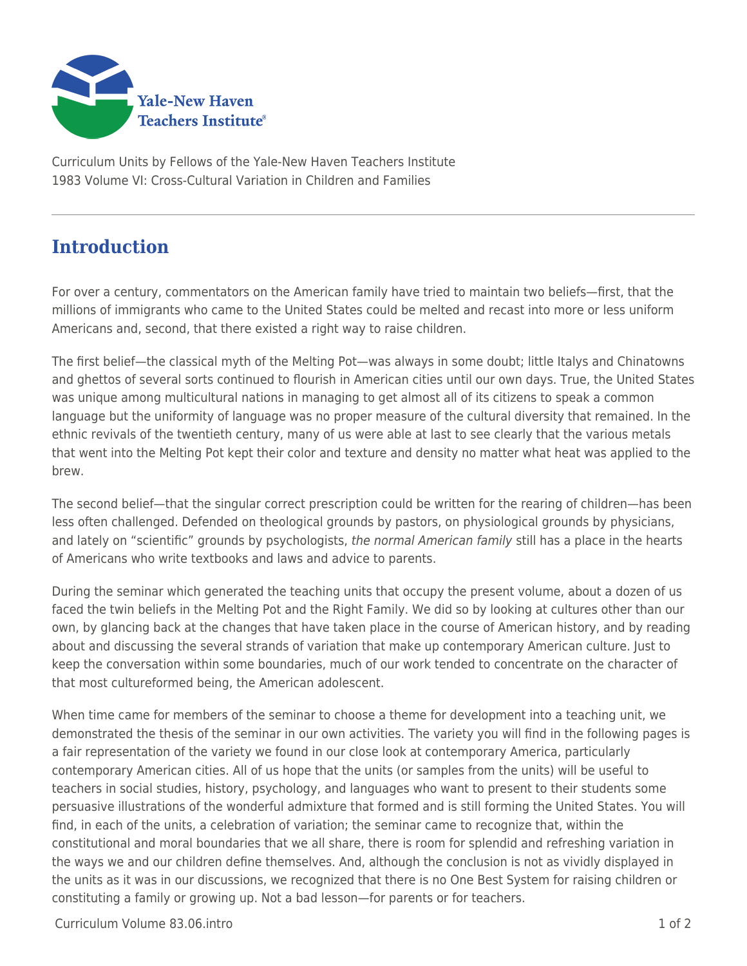

Curriculum Units by Fellows of the Yale-New Haven Teachers Institute 1983 Volume VI: Cross-Cultural Variation in Children and Families

## **Introduction**

For over a century, commentators on the American family have tried to maintain two beliefs—first, that the millions of immigrants who came to the United States could be melted and recast into more or less uniform Americans and, second, that there existed a right way to raise children.

The first belief—the classical myth of the Melting Pot—was always in some doubt; little Italys and Chinatowns and ghettos of several sorts continued to flourish in American cities until our own days. True, the United States was unique among multicultural nations in managing to get almost all of its citizens to speak a common language but the uniformity of language was no proper measure of the cultural diversity that remained. In the ethnic revivals of the twentieth century, many of us were able at last to see clearly that the various metals that went into the Melting Pot kept their color and texture and density no matter what heat was applied to the brew.

The second belief—that the singular correct prescription could be written for the rearing of children—has been less often challenged. Defended on theological grounds by pastors, on physiological grounds by physicians, and lately on "scientific" grounds by psychologists, the normal American family still has a place in the hearts of Americans who write textbooks and laws and advice to parents.

During the seminar which generated the teaching units that occupy the present volume, about a dozen of us faced the twin beliefs in the Melting Pot and the Right Family. We did so by looking at cultures other than our own, by glancing back at the changes that have taken place in the course of American history, and by reading about and discussing the several strands of variation that make up contemporary American culture. Just to keep the conversation within some boundaries, much of our work tended to concentrate on the character of that most cultureformed being, the American adolescent.

When time came for members of the seminar to choose a theme for development into a teaching unit, we demonstrated the thesis of the seminar in our own activities. The variety you will find in the following pages is a fair representation of the variety we found in our close look at contemporary America, particularly contemporary American cities. All of us hope that the units (or samples from the units) will be useful to teachers in social studies, history, psychology, and languages who want to present to their students some persuasive illustrations of the wonderful admixture that formed and is still forming the United States. You will find, in each of the units, a celebration of variation; the seminar came to recognize that, within the constitutional and moral boundaries that we all share, there is room for splendid and refreshing variation in the ways we and our children define themselves. And, although the conclusion is not as vividly displayed in the units as it was in our discussions, we recognized that there is no One Best System for raising children or constituting a family or growing up. Not a bad lesson—for parents or for teachers.

Curriculum Volume 83.06.intro 1 of 2